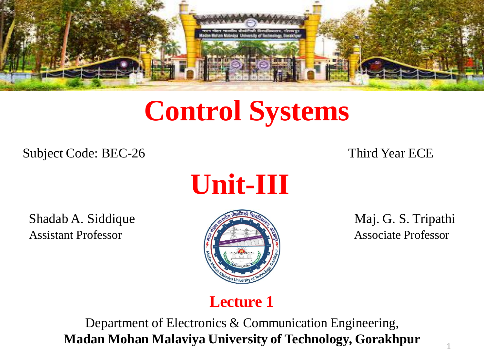

# **Control Systems**

Subject Code: BEC-26 Third Year ECE



Shadab A. Siddique Maj. G. S. Tripathi Assistant Professor **Associate Professor** Associate Professor



### **Lecture 1**

Department of Electronics & Communication Engineering, **Madan Mohan Malaviya University of Technology, Gorakhpur**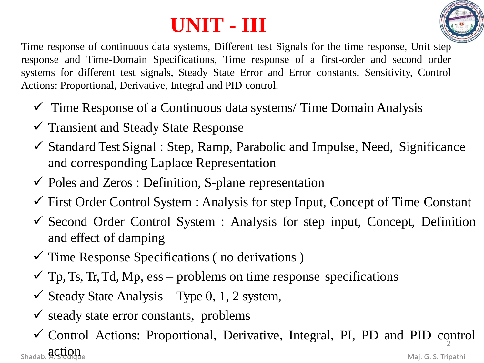# **UNIT - III**



Time response of continuous data systems, Different test Signals for the time response, Unit step response and Time-Domain Specifications, Time response of a first-order and second order systems for different test signals, Steady State Error and Error constants, Sensitivity, Control Actions: Proportional, Derivative, Integral and PID control.

- $\checkmark$  Time Response of a Continuous data systems/Time Domain Analysis
- ✓ Transient and Steady State Response
- $\checkmark$  Standard Test Signal : Step, Ramp, Parabolic and Impulse, Need, Significance and corresponding Laplace Representation
- $\checkmark$  Poles and Zeros : Definition, S-plane representation
- $\checkmark$  First Order Control System : Analysis for step Input, Concept of Time Constant
- $\checkmark$  Second Order Control System : Analysis for step input, Concept, Definition and effect of damping
- $\checkmark$  Time Response Specifications (no derivations)
- $\checkmark$  Tp, Ts, Tr, Td, Mp, ess problems on time response specifications
- $\checkmark$  Steady State Analysis Type 0, 1, 2 system,
- $\checkmark$  steady state error constants, problems
- ✓ Control Actions: Proportional, Derivative, Integral, PI, PD and PID control action and the matrix of the state of the Maj. G. S. Tripathi<br>
Shadab. A. Siddique 2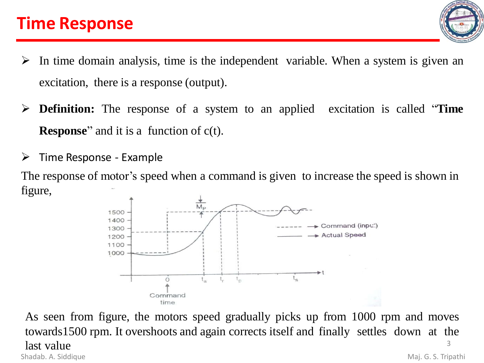### **Time Response**



- $\triangleright$  In time domain analysis, time is the independent variable. When a system is given an excitation, there is a response (output).
- ➢ **Definition:** The response of a system to an applied excitation is called "**Time Response**" and it is a function of c(t).
- $\triangleright$  Time Response Example

The response of motor's speed when a command is given to increase the speed is shown in figure,



As seen from figure, the motors speed gradually picks up from 1000 rpm and moves towards1500 rpm. It overshoots and again corrects itself and finally settles down at the last value Shadab. A. Siddique **Maj. G. S. Tripathi** 3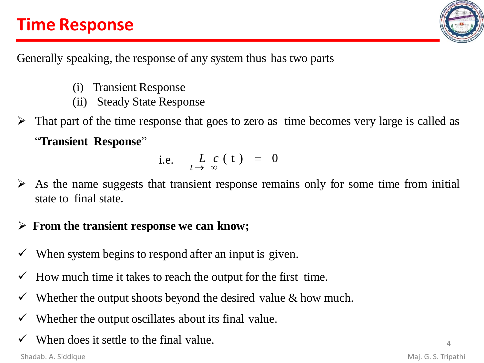# **Time Response**



Generally speaking, the response of any system thus has two parts

- (i) Transient Response
- (ii) Steady State Response
- That part of the time response that goes to zero as time becomes very large is called as "**Transient Response**"

i.e. 
$$
L_{t\to\infty} c(t) = 0
$$

As the name suggests that transient response remains only for some time from initial state to final state.

### ➢ **From the transient response we can know;**

- When system begins to respond after an input is given.
- How much time it takes to reach the output for the first time.
- Whether the output shoots beyond the desired value  $\&$  how much.
- Whether the output oscillates about its final value.
- When does it settle to the final value.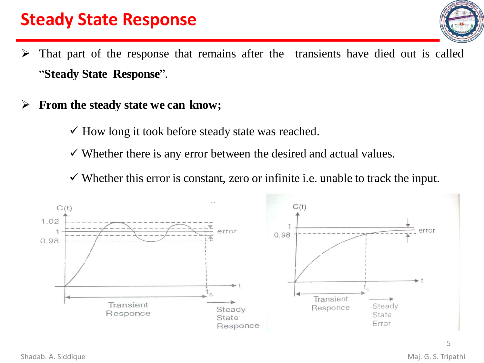### **Steady State Response**



- $\triangleright$  That part of the response that remains after the transients have died out is called "**Steady State Response**".
- ➢ **From the steady state we can know;**
	- $\checkmark$  How long it took before steady state was reached.
	- $\checkmark$  Whether there is any error between the desired and actual values.
	- $\checkmark$  Whether this error is constant, zero or infinite i.e. unable to track the input.

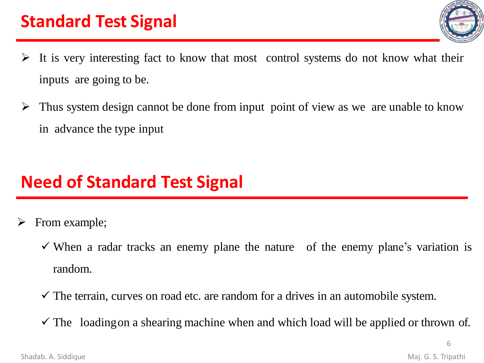- 
- $\triangleright$  It is very interesting fact to know that most control systems do not know what their inputs are going to be.
- $\triangleright$  Thus system design cannot be done from input point of view as we are unable to know in advance the type input

# **Need of Standard Test Signal**

- From example;
	- $\checkmark$  When a radar tracks an enemy plane the nature of the enemy plane's variation is random.
	- $\checkmark$  The terrain, curves on road etc. are random for a drives in an automobile system.
	- $\checkmark$  The loading on a shearing machine when and which load will be applied or thrown of.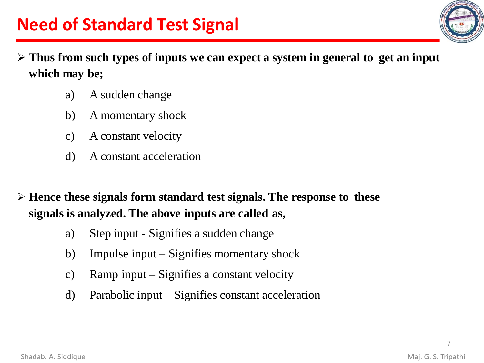

- ➢ **Thus from such types of inputs we can expect a system in general to get an input which may be;**
	- a) A sudden change
	- b) A momentary shock
	- c) A constant velocity
	- d) A constant acceleration

➢ **Hence these signals form standard test signals. The response to these signals is analyzed. The above inputs are called as,**

- a) Step input Signifies a sudden change
- b) Impulse input Signifies momentary shock
- c) Ramp input Signifies a constant velocity
- d) Parabolic input Signifies constant acceleration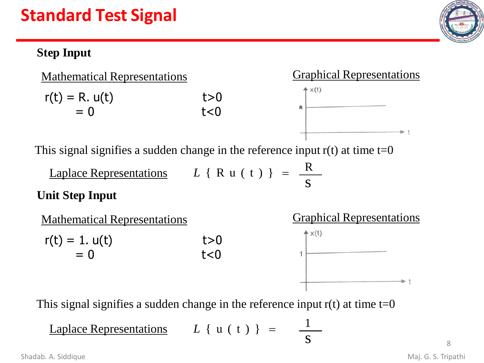### **Step Input**





This signal signifies a sudden change in the reference input  $r(t)$  at time  $t=0$ 

s  $Laplace$  Representations  $L \{ R u (t) \} =$ R

### **Unit Step Input**



s

1

R

This signal signifies a sudden change in the reference input  $r(t)$  at time  $t=0$ 

Laplace Representations  $L \{ u ( t ) \} =$ 

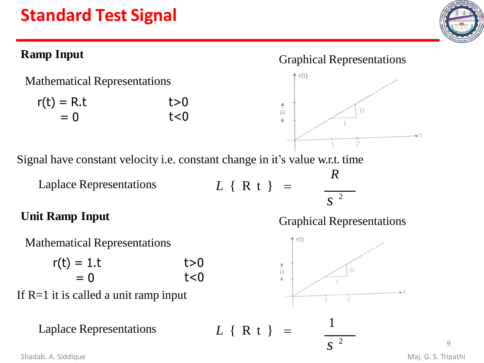### **Ramp Input**

Mathematical Representations

| $r(t) = R.t$ | t>0    |
|--------------|--------|
| $= 0$        | $t<$ 0 |

#### Graphical Representations



Signal have constant velocity i.e. constant change in it's value w.r.t. time

Laplace Representations *L* { R t } =

# *s* 2

*R*

### **Unit Ramp Input**



 $r(t) = 1.t$  $= 0$  $t>0$  $t<0$ 

If R=1 it is called a unit ramp input

Laplace Representations  $L \{ R t \} =$ 

Graphical Representations



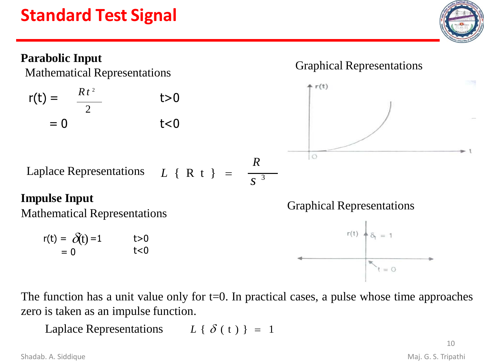

The function has a unit value only for  $t=0$ . In practical cases, a pulse whose time approaches zero is taken as an impulse function.

Laplace Representations  $L \{ \delta(t) \} = 1$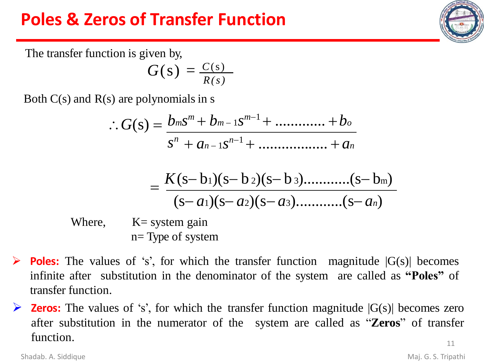### **Poles & Zeros of Transfer Function**

The transfer function is given by,

$$
G(s) = \frac{C(s)}{R(s)}
$$

Both  $C(s)$  and  $R(s)$  are polynomials in s

$$
\therefore G(s) = \frac{b_m s^m + b_{m-1} s^{m-1} + \dots + b_o}{s^n + a_{n-1} s^{n-1} + \dots + a_n}
$$

$$
=\frac{K(s-b_1)(s-b_2)(s-b_3) \dots (s-b_m)}{(s-a_1)(s-a_2)(s-a_3) \dots (s-a_n)}
$$

Where,  $K=$  system gain n= Type of system

- $\triangleright$  **Poles:** The values of 's', for which the transfer function magnitude  $|G(s)|$  becomes infinite after substitution in the denominator of the system are called as **"Poles"** of transfer function.
- $\triangleright$  **Zeros:** The values of 's', for which the transfer function magnitude  $|G(s)|$  becomes zero after substitution in the numerator of the system are called as "**Zeros**" of transfer function. 11

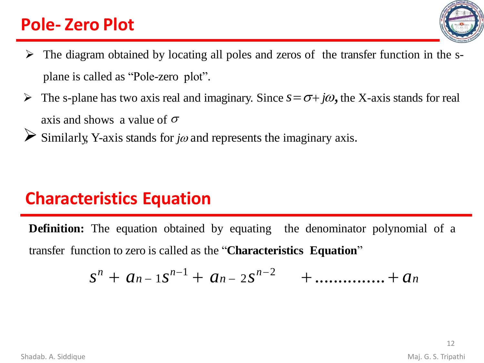### **Pole- Zero Plot**



- $\triangleright$  The diagram obtained by locating all poles and zeros of the transfer function in the splane is called as "Pole-zero plot".
- $\triangleright$  The s-plane has two axis real and imaginary. Since  $s = \sigma + j\omega$ , the X-axis stands for real axis and shows a value of  $\sigma$
- $\triangleright$  Similarly, Y-axis stands for *jo* and represents the imaginary axis.

### **Characteristics Equation**

**Definition:** The equation obtained by equating the denominator polynomial of a transfer function to zero is called as the "**Characteristics Equation**"

$$
S^{n} + a_{n-1}S^{n-1} + a_{n-2}S^{n-2} + \ldots + a_{n}
$$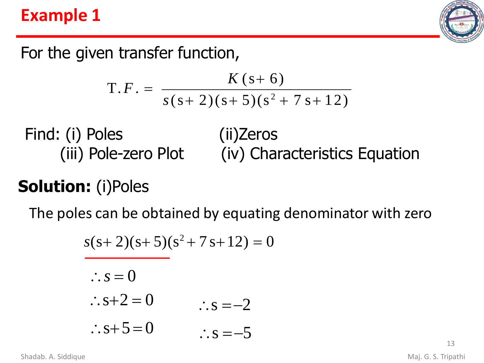### **Example 1**



For the given transfer function,

$$
T.F. = \frac{K(s+6)}{s(s+2)(s+5)(s^2+7s+12)}
$$

Find: (i) Poles (iii) Pole-zero Plot (ii)Zeros (iv) Characteristics Equation

# **Solution:** (i)Poles

The poles can be obtained by equating denominator with zero

$$
s(s+2)(s+5)(s2+7s+12) = 0
$$
  
∴ s = 0  
∴ s+2=0  
∴ s+5=0  
∴ s = -5

Shadab. A. Siddique **Maj. G. S. Tripathi**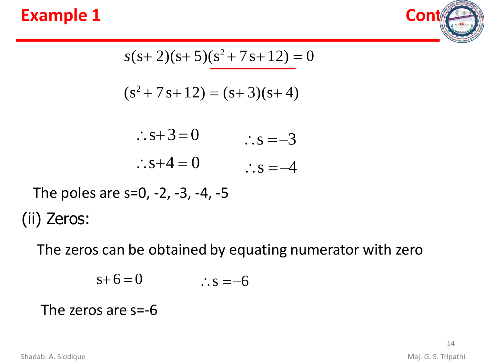### **Example 1 Contract Contract Contract Contract Contract Contract Contract Contract Contract Contract Contract Contract Contract Contract Contract Contract Contract Contract Contract Contract Contract Contract Contract Co**



$$
s(s+2)(s+5)(s^2+7s+12) = 0
$$

$$
(s2+7s+12) = (s+3)(s+4)
$$

| $\therefore$ s+3=0   | $\therefore$ s = -3 |
|----------------------|---------------------|
| $\therefore$ s+4 = 0 | $\therefore$ s = -4 |

The poles are s=0, -2, -3, -4, -5 (ii) Zeros:

The zeros can be obtained by equating numerator with zero

$$
s+6=0 \qquad \qquad \therefore s=-6
$$

### The zeros are s=-6

Shadab. A. Siddique **Maj. G. S. Tripathi**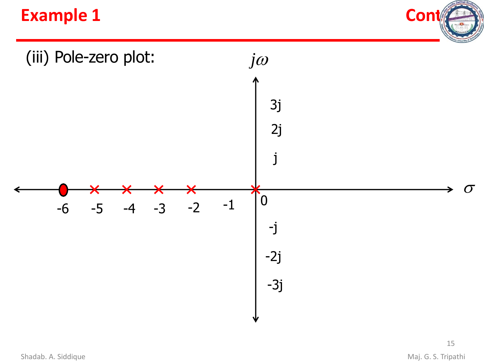### **Example 1 Cont**